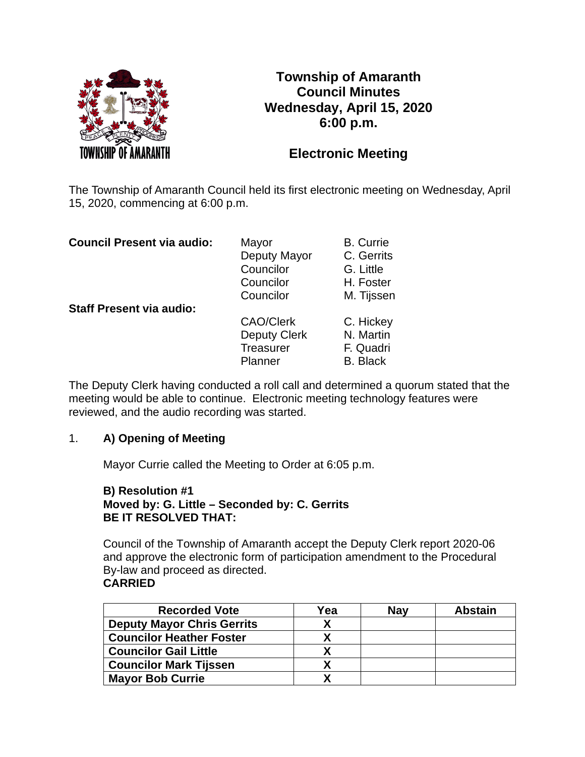

# **Township of Amaranth Council Minutes Wednesday, April 15, 2020 6:00 p.m.**

# **Electronic Meeting**

The Township of Amaranth Council held its first electronic meeting on Wednesday, April 15, 2020, commencing at 6:00 p.m.

| <b>Council Present via audio:</b> | Mayor<br>Deputy Mayor<br>Councilor<br>Councilor<br>Councilor    | <b>B.</b> Currie<br>C. Gerrits<br>G. Little<br>H. Foster             |
|-----------------------------------|-----------------------------------------------------------------|----------------------------------------------------------------------|
| <b>Staff Present via audio:</b>   | <b>CAO/Clerk</b><br>Deputy Clerk<br><b>Treasurer</b><br>Planner | M. Tijssen<br>C. Hickey<br>N. Martin<br>F. Quadri<br><b>B.</b> Black |

The Deputy Clerk having conducted a roll call and determined a quorum stated that the meeting would be able to continue. Electronic meeting technology features were reviewed, and the audio recording was started.

## 1. **A) Opening of Meeting**

Mayor Currie called the Meeting to Order at 6:05 p.m.

## **B) Resolution #1 Moved by: G. Little – Seconded by: C. Gerrits BE IT RESOLVED THAT:**

Council of the Township of Amaranth accept the Deputy Clerk report 2020-06 and approve the electronic form of participation amendment to the Procedural By-law and proceed as directed. **CARRIED**

| <b>Recorded Vote</b>              | Yea | <b>Nav</b> | <b>Abstain</b> |
|-----------------------------------|-----|------------|----------------|
| <b>Deputy Mayor Chris Gerrits</b> | χ   |            |                |
| <b>Councilor Heather Foster</b>   |     |            |                |
| <b>Councilor Gail Little</b>      |     |            |                |
| <b>Councilor Mark Tijssen</b>     |     |            |                |
| <b>Mayor Bob Currie</b>           |     |            |                |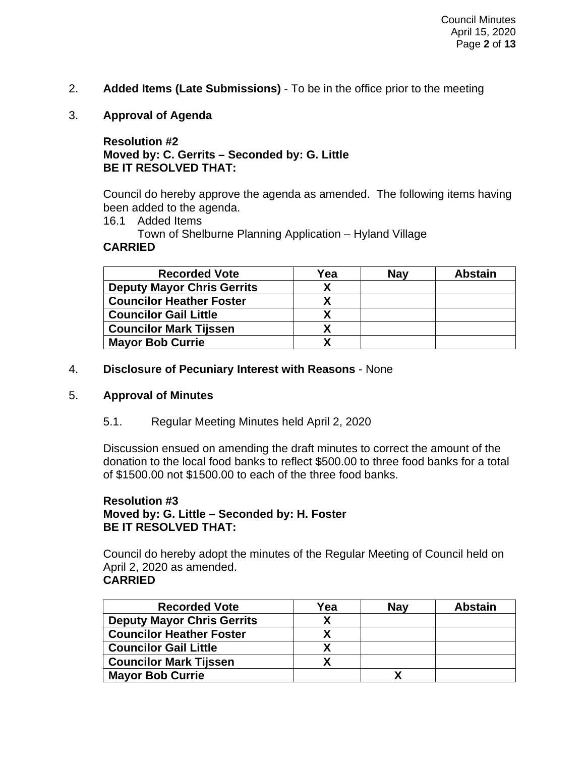- 2. **Added Items (Late Submissions)** To be in the office prior to the meeting
- 3. **Approval of Agenda**

## **Resolution #2 Moved by: C. Gerrits – Seconded by: G. Little BE IT RESOLVED THAT:**

Council do hereby approve the agenda as amended. The following items having been added to the agenda.

16.1 Added Items

Town of Shelburne Planning Application – Hyland Village **CARRIED**

| <b>Recorded Vote</b>              | Yea | <b>Nav</b> | <b>Abstain</b> |
|-----------------------------------|-----|------------|----------------|
| <b>Deputy Mayor Chris Gerrits</b> |     |            |                |
| <b>Councilor Heather Foster</b>   | Х   |            |                |
| <b>Councilor Gail Little</b>      |     |            |                |
| <b>Councilor Mark Tijssen</b>     | Х   |            |                |
| <b>Mayor Bob Currie</b>           |     |            |                |

4. **Disclosure of Pecuniary Interest with Reasons** - None

#### 5. **Approval of Minutes**

5.1. Regular Meeting Minutes held April 2, 2020

Discussion ensued on amending the draft minutes to correct the amount of the donation to the local food banks to reflect \$500.00 to three food banks for a total of \$1500.00 not \$1500.00 to each of the three food banks.

## **Resolution #3 Moved by: G. Little – Seconded by: H. Foster BE IT RESOLVED THAT:**

Council do hereby adopt the minutes of the Regular Meeting of Council held on April 2, 2020 as amended. **CARRIED**

| <b>Recorded Vote</b>              | Yea | <b>Nav</b> | <b>Abstain</b> |
|-----------------------------------|-----|------------|----------------|
| <b>Deputy Mayor Chris Gerrits</b> |     |            |                |
| <b>Councilor Heather Foster</b>   |     |            |                |
| <b>Councilor Gail Little</b>      |     |            |                |
| <b>Councilor Mark Tijssen</b>     |     |            |                |
| <b>Mayor Bob Currie</b>           |     |            |                |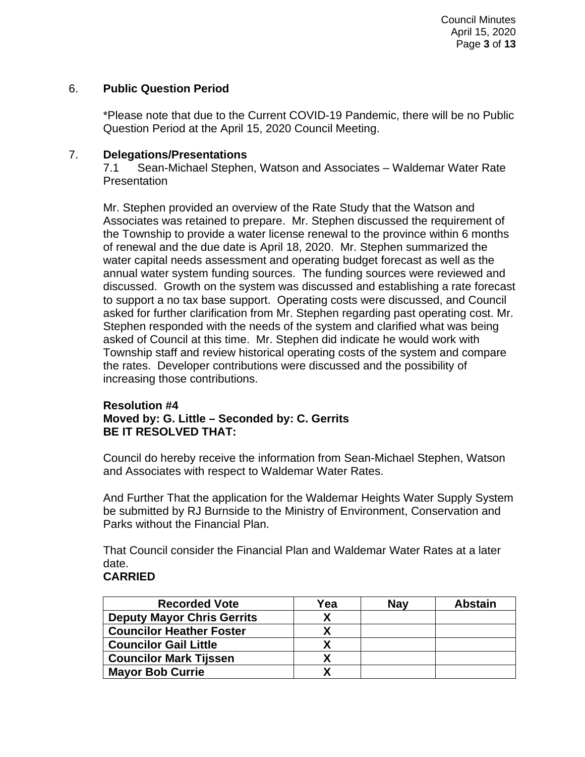## 6. **Public Question Period**

\*Please note that due to the Current COVID-19 Pandemic, there will be no Public Question Period at the April 15, 2020 Council Meeting.

### 7. **Delegations/Presentations**

7.1 Sean-Michael Stephen, Watson and Associates – Waldemar Water Rate **Presentation** 

Mr. Stephen provided an overview of the Rate Study that the Watson and Associates was retained to prepare. Mr. Stephen discussed the requirement of the Township to provide a water license renewal to the province within 6 months of renewal and the due date is April 18, 2020. Mr. Stephen summarized the water capital needs assessment and operating budget forecast as well as the annual water system funding sources. The funding sources were reviewed and discussed. Growth on the system was discussed and establishing a rate forecast to support a no tax base support. Operating costs were discussed, and Council asked for further clarification from Mr. Stephen regarding past operating cost. Mr. Stephen responded with the needs of the system and clarified what was being asked of Council at this time. Mr. Stephen did indicate he would work with Township staff and review historical operating costs of the system and compare the rates. Developer contributions were discussed and the possibility of increasing those contributions.

## **Resolution #4 Moved by: G. Little – Seconded by: C. Gerrits BE IT RESOLVED THAT:**

Council do hereby receive the information from Sean-Michael Stephen, Watson and Associates with respect to Waldemar Water Rates.

And Further That the application for the Waldemar Heights Water Supply System be submitted by RJ Burnside to the Ministry of Environment, Conservation and Parks without the Financial Plan.

That Council consider the Financial Plan and Waldemar Water Rates at a later date.

## **CARRIED**

| <b>Recorded Vote</b>              | Yea | Nav | <b>Abstain</b> |
|-----------------------------------|-----|-----|----------------|
| <b>Deputy Mayor Chris Gerrits</b> |     |     |                |
| <b>Councilor Heather Foster</b>   |     |     |                |
| <b>Councilor Gail Little</b>      |     |     |                |
| <b>Councilor Mark Tijssen</b>     |     |     |                |
| <b>Mayor Bob Currie</b>           |     |     |                |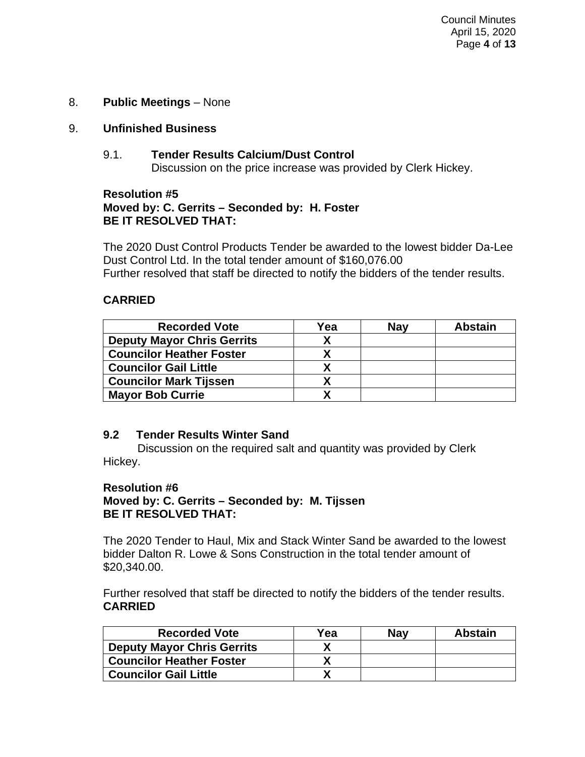## 8. **Public Meetings** – None

## 9. **Unfinished Business**

9.1. **Tender Results Calcium/Dust Control** Discussion on the price increase was provided by Clerk Hickey.

#### **Resolution #5 Moved by: C. Gerrits – Seconded by: H. Foster BE IT RESOLVED THAT:**

The 2020 Dust Control Products Tender be awarded to the lowest bidder Da-Lee Dust Control Ltd. In the total tender amount of \$160,076.00 Further resolved that staff be directed to notify the bidders of the tender results.

## **CARRIED**

| <b>Recorded Vote</b>              | Yea | <b>Nav</b> | <b>Abstain</b> |
|-----------------------------------|-----|------------|----------------|
| <b>Deputy Mayor Chris Gerrits</b> |     |            |                |
| <b>Councilor Heather Foster</b>   |     |            |                |
| <b>Councilor Gail Little</b>      |     |            |                |
| <b>Councilor Mark Tijssen</b>     |     |            |                |
| <b>Mayor Bob Currie</b>           |     |            |                |

#### **9.2 Tender Results Winter Sand**

Discussion on the required salt and quantity was provided by Clerk Hickey.

#### **Resolution #6**

## **Moved by: C. Gerrits – Seconded by: M. Tijssen BE IT RESOLVED THAT:**

The 2020 Tender to Haul, Mix and Stack Winter Sand be awarded to the lowest bidder Dalton R. Lowe & Sons Construction in the total tender amount of \$20,340.00.

Further resolved that staff be directed to notify the bidders of the tender results. **CARRIED**

| <b>Recorded Vote</b>              | Yea | <b>Nav</b> | <b>Abstain</b> |
|-----------------------------------|-----|------------|----------------|
| <b>Deputy Mayor Chris Gerrits</b> |     |            |                |
| <b>Councilor Heather Foster</b>   |     |            |                |
| <b>Councilor Gail Little</b>      |     |            |                |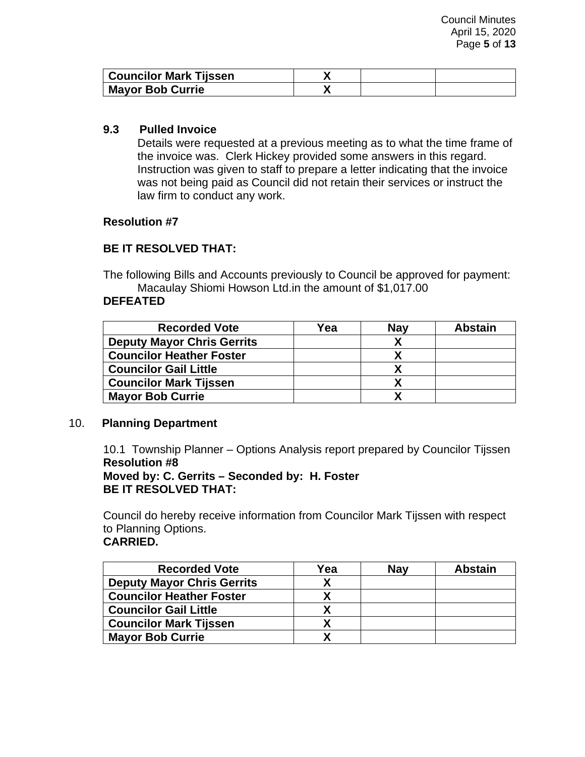| <b>Councilor Mark Tijssen</b> |  |  |
|-------------------------------|--|--|
| <b>Mayor Bob Currie</b>       |  |  |

## **9.3 Pulled Invoice**

Details were requested at a previous meeting as to what the time frame of the invoice was. Clerk Hickey provided some answers in this regard. Instruction was given to staff to prepare a letter indicating that the invoice was not being paid as Council did not retain their services or instruct the law firm to conduct any work.

## **Resolution #7**

## **BE IT RESOLVED THAT:**

The following Bills and Accounts previously to Council be approved for payment: Macaulay Shiomi Howson Ltd.in the amount of \$1,017.00

## **DEFEATED**

| <b>Recorded Vote</b>              | Yea | <b>Nav</b> | <b>Abstain</b> |
|-----------------------------------|-----|------------|----------------|
| <b>Deputy Mayor Chris Gerrits</b> |     |            |                |
| <b>Councilor Heather Foster</b>   |     |            |                |
| <b>Councilor Gail Little</b>      |     |            |                |
| <b>Councilor Mark Tijssen</b>     |     |            |                |
| <b>Mayor Bob Currie</b>           |     |            |                |

#### 10. **Planning Department**

10.1 Township Planner – Options Analysis report prepared by Councilor Tijssen **Resolution #8 Moved by: C. Gerrits – Seconded by: H. Foster BE IT RESOLVED THAT:**

Council do hereby receive information from Councilor Mark Tijssen with respect to Planning Options.

## **CARRIED.**

| <b>Recorded Vote</b>              | Yea | <b>Nav</b> | <b>Abstain</b> |
|-----------------------------------|-----|------------|----------------|
| <b>Deputy Mayor Chris Gerrits</b> |     |            |                |
| <b>Councilor Heather Foster</b>   |     |            |                |
| <b>Councilor Gail Little</b>      |     |            |                |
| <b>Councilor Mark Tijssen</b>     |     |            |                |
| <b>Mayor Bob Currie</b>           |     |            |                |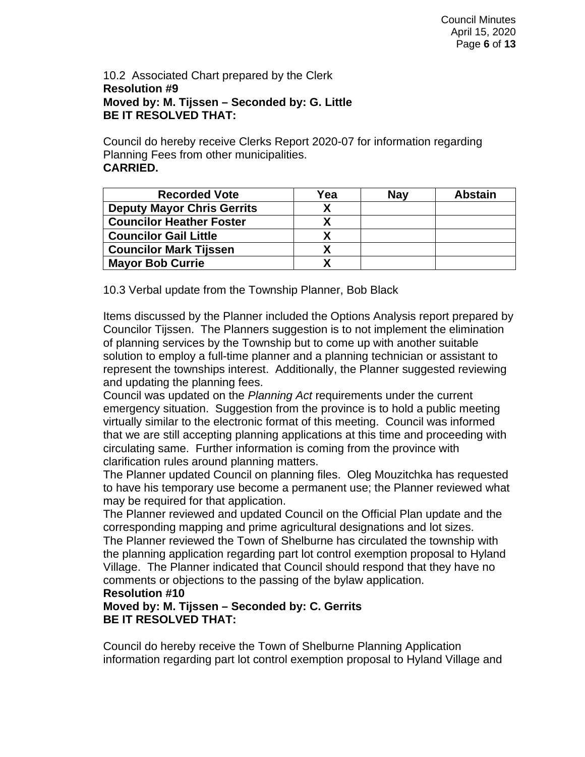## 10.2 Associated Chart prepared by the Clerk **Resolution #9 Moved by: M. Tijssen – Seconded by: G. Little BE IT RESOLVED THAT:**

Council do hereby receive Clerks Report 2020-07 for information regarding Planning Fees from other municipalities. **CARRIED.**

| <b>Recorded Vote</b>              | Yea | Nav | <b>Abstain</b> |
|-----------------------------------|-----|-----|----------------|
| <b>Deputy Mayor Chris Gerrits</b> |     |     |                |
| <b>Councilor Heather Foster</b>   |     |     |                |
| <b>Councilor Gail Little</b>      |     |     |                |
| <b>Councilor Mark Tijssen</b>     |     |     |                |
| <b>Mayor Bob Currie</b>           |     |     |                |

10.3 Verbal update from the Township Planner, Bob Black

Items discussed by the Planner included the Options Analysis report prepared by Councilor Tijssen. The Planners suggestion is to not implement the elimination of planning services by the Township but to come up with another suitable solution to employ a full-time planner and a planning technician or assistant to represent the townships interest. Additionally, the Planner suggested reviewing and updating the planning fees.

Council was updated on the *Planning Act* requirements under the current emergency situation. Suggestion from the province is to hold a public meeting virtually similar to the electronic format of this meeting. Council was informed that we are still accepting planning applications at this time and proceeding with circulating same. Further information is coming from the province with clarification rules around planning matters.

The Planner updated Council on planning files. Oleg Mouzitchka has requested to have his temporary use become a permanent use; the Planner reviewed what may be required for that application.

The Planner reviewed and updated Council on the Official Plan update and the corresponding mapping and prime agricultural designations and lot sizes.

The Planner reviewed the Town of Shelburne has circulated the township with the planning application regarding part lot control exemption proposal to Hyland Village. The Planner indicated that Council should respond that they have no comments or objections to the passing of the bylaw application.

#### **Resolution #10**

**Moved by: M. Tijssen – Seconded by: C. Gerrits BE IT RESOLVED THAT:**

Council do hereby receive the Town of Shelburne Planning Application information regarding part lot control exemption proposal to Hyland Village and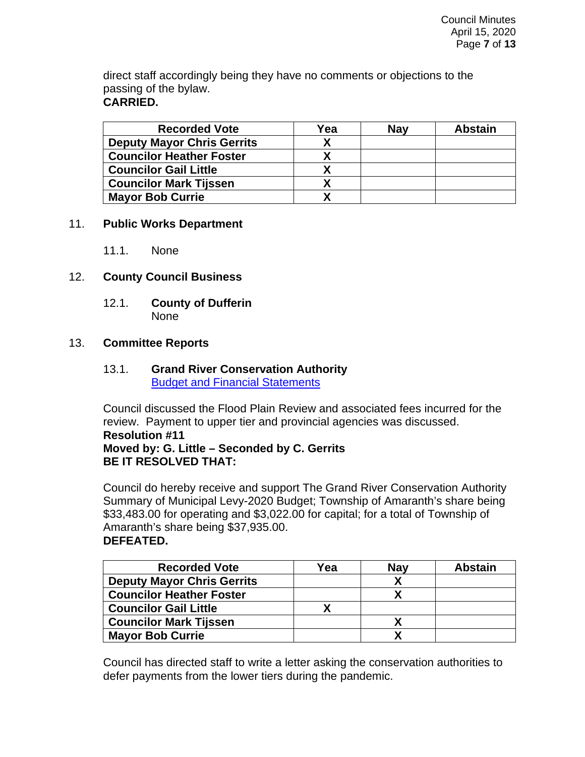direct staff accordingly being they have no comments or objections to the passing of the bylaw. **CARRIED.**

| <b>Recorded Vote</b>              | Yea | <b>Nav</b> | <b>Abstain</b> |
|-----------------------------------|-----|------------|----------------|
| <b>Deputy Mayor Chris Gerrits</b> |     |            |                |
| <b>Councilor Heather Foster</b>   |     |            |                |
| <b>Councilor Gail Little</b>      |     |            |                |
| <b>Councilor Mark Tijssen</b>     |     |            |                |
| <b>Mayor Bob Currie</b>           |     |            |                |

#### 11. **Public Works Department**

11.1. None

## 12. **County Council Business**

12.1. **County of Dufferin** None

#### 13. **Committee Reports**

## 13.1. **Grand River Conservation Authority** [Budget and Financial Statements](https://www.grandriver.ca/en/who-we-are/Budget-and-Financial-Statements.aspx)

Council discussed the Flood Plain Review and associated fees incurred for the review. Payment to upper tier and provincial agencies was discussed. **Resolution #11 Moved by: G. Little – Seconded by C. Gerrits BE IT RESOLVED THAT:**

Council do hereby receive and support The Grand River Conservation Authority Summary of Municipal Levy-2020 Budget; Township of Amaranth's share being \$33,483.00 for operating and \$3,022.00 for capital; for a total of Township of Amaranth's share being \$37,935.00. **DEFEATED.**

| <b>Recorded Vote</b>              | Yea | <b>Nav</b> | <b>Abstain</b> |
|-----------------------------------|-----|------------|----------------|
| <b>Deputy Mayor Chris Gerrits</b> |     |            |                |
| <b>Councilor Heather Foster</b>   |     |            |                |
| <b>Councilor Gail Little</b>      |     |            |                |
| <b>Councilor Mark Tijssen</b>     |     |            |                |
| <b>Mayor Bob Currie</b>           |     |            |                |

Council has directed staff to write a letter asking the conservation authorities to defer payments from the lower tiers during the pandemic.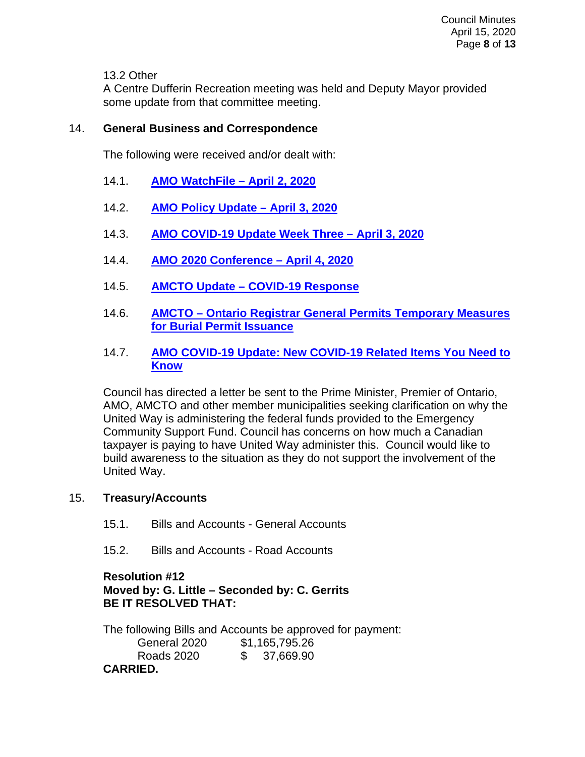13.2 Other

A Centre Dufferin Recreation meeting was held and Deputy Mayor provided some update from that committee meeting.

## 14. **General Business and Correspondence**

The following were received and/or dealt with:

- 14.1. **[AMO WatchFile –](https://amo.informz.ca/informzdataservice/onlineversion/ind/bWFpbGluZ2luc3RhbmNlaWQ9MTE4NzQ2MSZzdWJzY3JpYmVyaWQ9OTI1MjM5OTYx) April 2, 2020**
- 14.2. **[AMO Policy Update –](https://amo.informz.ca/informzdataservice/onlineversion/ind/bWFpbGluZ2luc3RhbmNlaWQ9MTE4ODAzNSZzdWJzY3JpYmVyaWQ9OTI1MjM5OTYx) April 3, 2020**
- 14.3. **[AMO COVID-19 Update Week Three –](https://amo.informz.ca/informzdataservice/onlineversion/ind/bWFpbGluZ2luc3RhbmNlaWQ9MTE4ODA3OCZzdWJzY3JpYmVyaWQ9OTI1MjM5OTYx) April 3, 2020**
- 14.4. **[AMO 2020 Conference –](https://amo.informz.ca/informzdataservice/onlineversion/ind/bWFpbGluZ2luc3RhbmNlaWQ9MTE4ODEyNSZzdWJzY3JpYmVyaWQ9OTI1MjM5OTYx) April 4, 2020**
- 14.5. **AMCTO Update – [COVID-19 Response](https://amcto.informz.net/informzdataservice/onlineversion/ind/bWFpbGluZ2luc3RhbmNlaWQ9OTI1MDkzMyZzdWJzY3JpYmVyaWQ9MTEzNTM3MDc3Ng==)**
- 14.6. **AMCTO – [Ontario Registrar General Permits Temporary Measures](https://www.amcto.com/Blog/April-2020/Ontario-Registrar-General-Permits-Temporary-Measur)  [for Burial Permit Issuance](https://www.amcto.com/Blog/April-2020/Ontario-Registrar-General-Permits-Temporary-Measur)**
- 14.7. **[AMO COVID-19 Update: New COVID-19 Related Items You Need to](https://amo.informz.ca/informzdataservice/onlineversion/ind/bWFpbGluZ2luc3RhbmNlaWQ9MTE4OTA5MiZzdWJzY3JpYmVyaWQ9OTI1MjM5OTYx)  [Know](https://amo.informz.ca/informzdataservice/onlineversion/ind/bWFpbGluZ2luc3RhbmNlaWQ9MTE4OTA5MiZzdWJzY3JpYmVyaWQ9OTI1MjM5OTYx)**

Council has directed a letter be sent to the Prime Minister, Premier of Ontario, AMO, AMCTO and other member municipalities seeking clarification on why the United Way is administering the federal funds provided to the Emergency Community Support Fund. Council has concerns on how much a Canadian taxpayer is paying to have United Way administer this. Council would like to build awareness to the situation as they do not support the involvement of the United Way.

## 15. **Treasury/Accounts**

- 15.1. Bills and Accounts General Accounts
- 15.2. Bills and Accounts Road Accounts

## **Resolution #12 Moved by: G. Little – Seconded by: C. Gerrits BE IT RESOLVED THAT:**

The following Bills and Accounts be approved for payment: General 2020 \$1,165,795.26 Roads 2020 \$ 37,669.90 **CARRIED.**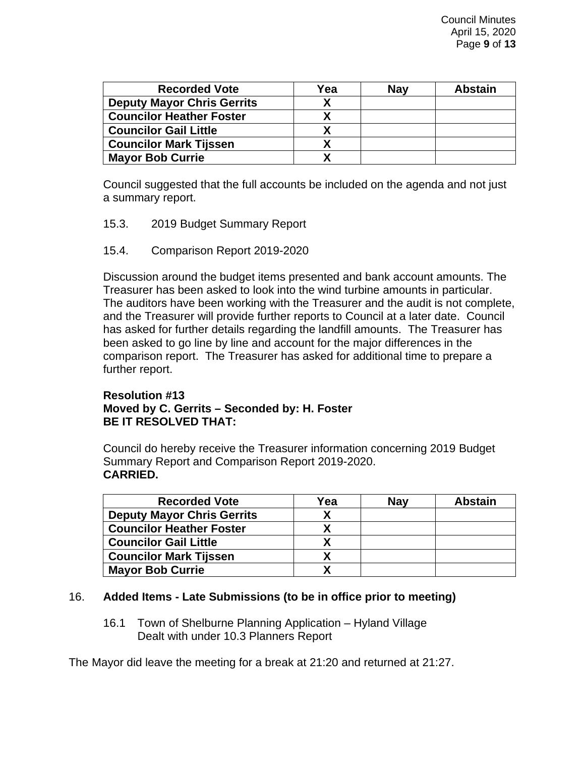| <b>Recorded Vote</b>              | Yea | <b>Nav</b> | <b>Abstain</b> |
|-----------------------------------|-----|------------|----------------|
| <b>Deputy Mayor Chris Gerrits</b> |     |            |                |
| <b>Councilor Heather Foster</b>   |     |            |                |
| <b>Councilor Gail Little</b>      |     |            |                |
| <b>Councilor Mark Tijssen</b>     |     |            |                |
| <b>Mayor Bob Currie</b>           |     |            |                |

Council suggested that the full accounts be included on the agenda and not just a summary report.

- 15.3. 2019 Budget Summary Report
- 15.4. Comparison Report 2019-2020

Discussion around the budget items presented and bank account amounts. The Treasurer has been asked to look into the wind turbine amounts in particular. The auditors have been working with the Treasurer and the audit is not complete, and the Treasurer will provide further reports to Council at a later date. Council has asked for further details regarding the landfill amounts. The Treasurer has been asked to go line by line and account for the major differences in the comparison report. The Treasurer has asked for additional time to prepare a further report.

#### **Resolution #13 Moved by C. Gerrits – Seconded by: H. Foster BE IT RESOLVED THAT:**

Council do hereby receive the Treasurer information concerning 2019 Budget Summary Report and Comparison Report 2019-2020. **CARRIED.**

| <b>Recorded Vote</b>              | Yea | <b>Nav</b> | <b>Abstain</b> |
|-----------------------------------|-----|------------|----------------|
| <b>Deputy Mayor Chris Gerrits</b> |     |            |                |
| <b>Councilor Heather Foster</b>   |     |            |                |
| <b>Councilor Gail Little</b>      |     |            |                |
| <b>Councilor Mark Tijssen</b>     |     |            |                |
| <b>Mayor Bob Currie</b>           |     |            |                |

## 16. **Added Items - Late Submissions (to be in office prior to meeting)**

16.1 Town of Shelburne Planning Application – Hyland Village Dealt with under 10.3 Planners Report

The Mayor did leave the meeting for a break at 21:20 and returned at 21:27.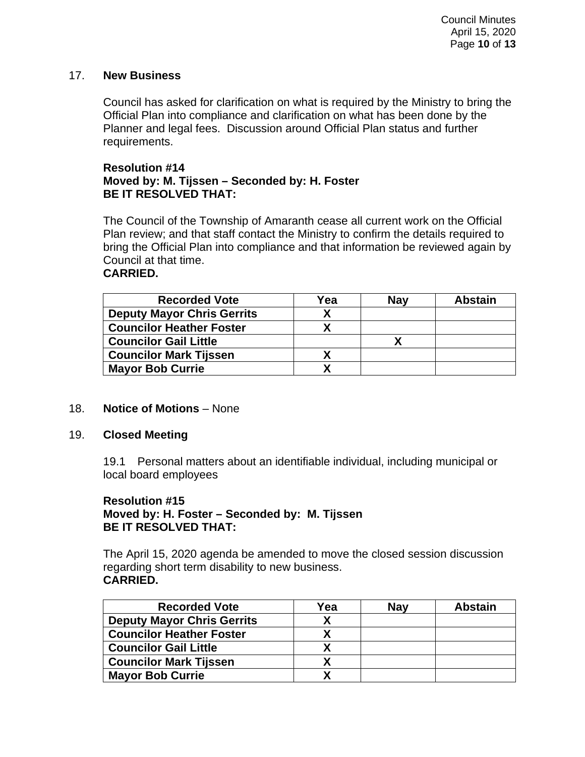## 17. **New Business**

Council has asked for clarification on what is required by the Ministry to bring the Official Plan into compliance and clarification on what has been done by the Planner and legal fees. Discussion around Official Plan status and further requirements.

## **Resolution #14 Moved by: M. Tijssen – Seconded by: H. Foster BE IT RESOLVED THAT:**

The Council of the Township of Amaranth cease all current work on the Official Plan review; and that staff contact the Ministry to confirm the details required to bring the Official Plan into compliance and that information be reviewed again by Council at that time.

## **CARRIED.**

| <b>Recorded Vote</b>              | Yea | <b>Nav</b> | <b>Abstain</b> |
|-----------------------------------|-----|------------|----------------|
| <b>Deputy Mayor Chris Gerrits</b> |     |            |                |
| <b>Councilor Heather Foster</b>   |     |            |                |
| <b>Councilor Gail Little</b>      |     |            |                |
| <b>Councilor Mark Tijssen</b>     |     |            |                |
| <b>Mayor Bob Currie</b>           |     |            |                |

#### 18. **Notice of Motions** – None

#### 19. **Closed Meeting**

19.1 Personal matters about an identifiable individual, including municipal or local board employees

### **Resolution #15 Moved by: H. Foster – Seconded by: M. Tijssen BE IT RESOLVED THAT:**

The April 15, 2020 agenda be amended to move the closed session discussion regarding short term disability to new business. **CARRIED.**

| <b>Recorded Vote</b>              | Yea | <b>Nav</b> | <b>Abstain</b> |
|-----------------------------------|-----|------------|----------------|
| <b>Deputy Mayor Chris Gerrits</b> |     |            |                |
| <b>Councilor Heather Foster</b>   |     |            |                |
| <b>Councilor Gail Little</b>      |     |            |                |
| <b>Councilor Mark Tijssen</b>     |     |            |                |
| <b>Mayor Bob Currie</b>           |     |            |                |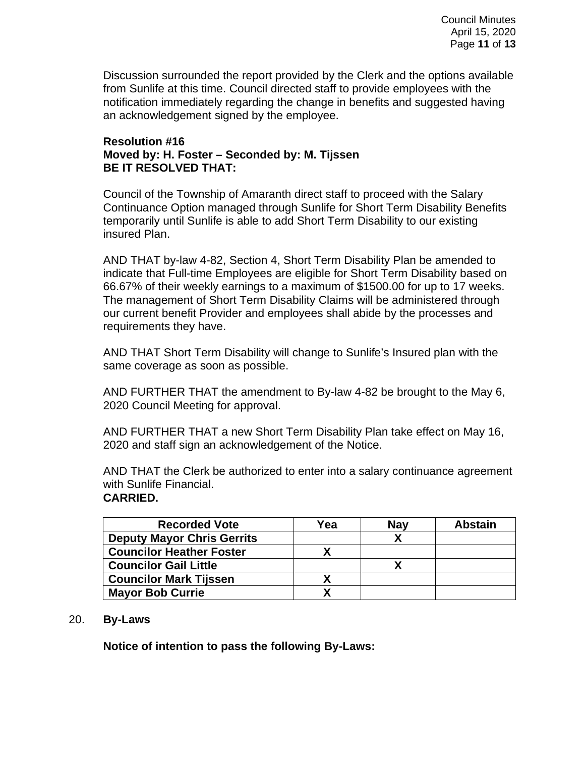Discussion surrounded the report provided by the Clerk and the options available from Sunlife at this time. Council directed staff to provide employees with the notification immediately regarding the change in benefits and suggested having an acknowledgement signed by the employee.

#### **Resolution #16 Moved by: H. Foster – Seconded by: M. Tijssen BE IT RESOLVED THAT:**

Council of the Township of Amaranth direct staff to proceed with the Salary Continuance Option managed through Sunlife for Short Term Disability Benefits temporarily until Sunlife is able to add Short Term Disability to our existing insured Plan.

AND THAT by-law 4-82, Section 4, Short Term Disability Plan be amended to indicate that Full-time Employees are eligible for Short Term Disability based on 66.67% of their weekly earnings to a maximum of \$1500.00 for up to 17 weeks. The management of Short Term Disability Claims will be administered through our current benefit Provider and employees shall abide by the processes and requirements they have.

AND THAT Short Term Disability will change to Sunlife's Insured plan with the same coverage as soon as possible.

AND FURTHER THAT the amendment to By-law 4-82 be brought to the May 6, 2020 Council Meeting for approval.

AND FURTHER THAT a new Short Term Disability Plan take effect on May 16, 2020 and staff sign an acknowledgement of the Notice.

AND THAT the Clerk be authorized to enter into a salary continuance agreement with Sunlife Financial.

#### **CARRIED.**

| <b>Recorded Vote</b>              | Yea | <b>Nav</b> | <b>Abstain</b> |
|-----------------------------------|-----|------------|----------------|
| <b>Deputy Mayor Chris Gerrits</b> |     |            |                |
| <b>Councilor Heather Foster</b>   |     |            |                |
| <b>Councilor Gail Little</b>      |     |            |                |
| <b>Councilor Mark Tijssen</b>     |     |            |                |
| <b>Mayor Bob Currie</b>           |     |            |                |

#### 20. **By-Laws**

**Notice of intention to pass the following By-Laws:**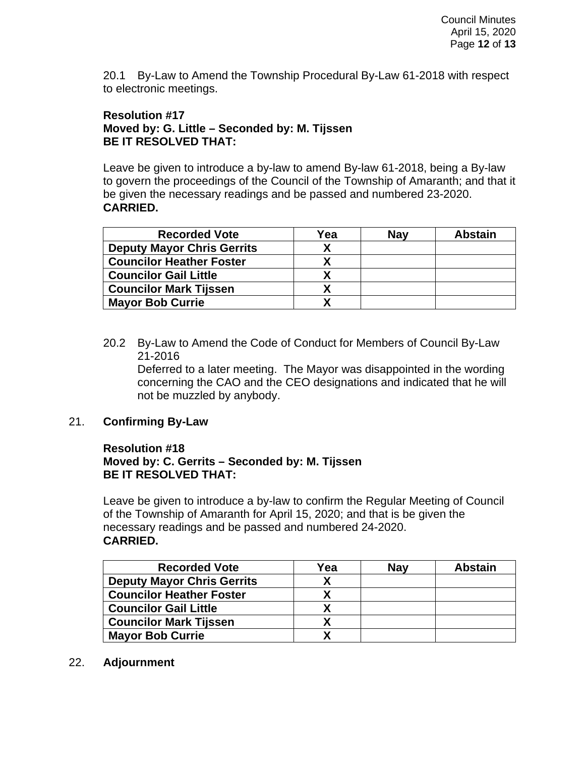20.1 By-Law to Amend the Township Procedural By-Law 61-2018 with respect to electronic meetings.

## **Resolution #17 Moved by: G. Little – Seconded by: M. Tijssen BE IT RESOLVED THAT:**

Leave be given to introduce a by-law to amend By-law 61-2018, being a By-law to govern the proceedings of the Council of the Township of Amaranth; and that it be given the necessary readings and be passed and numbered 23-2020. **CARRIED.**

| <b>Recorded Vote</b>              | Yea | <b>Nav</b> | <b>Abstain</b> |
|-----------------------------------|-----|------------|----------------|
| <b>Deputy Mayor Chris Gerrits</b> |     |            |                |
| <b>Councilor Heather Foster</b>   |     |            |                |
| <b>Councilor Gail Little</b>      |     |            |                |
| <b>Councilor Mark Tijssen</b>     |     |            |                |
| <b>Mayor Bob Currie</b>           |     |            |                |

20.2 By-Law to Amend the Code of Conduct for Members of Council By-Law 21-2016

Deferred to a later meeting. The Mayor was disappointed in the wording concerning the CAO and the CEO designations and indicated that he will not be muzzled by anybody.

## 21. **Confirming By-Law**

## **Resolution #18 Moved by: C. Gerrits – Seconded by: M. Tijssen BE IT RESOLVED THAT:**

Leave be given to introduce a by-law to confirm the Regular Meeting of Council of the Township of Amaranth for April 15, 2020; and that is be given the necessary readings and be passed and numbered 24-2020. **CARRIED.**

| <b>Recorded Vote</b>              | Yea | <b>Nav</b> | <b>Abstain</b> |
|-----------------------------------|-----|------------|----------------|
| <b>Deputy Mayor Chris Gerrits</b> |     |            |                |
| <b>Councilor Heather Foster</b>   |     |            |                |
| <b>Councilor Gail Little</b>      |     |            |                |
| <b>Councilor Mark Tijssen</b>     |     |            |                |
| <b>Mayor Bob Currie</b>           |     |            |                |

#### 22. **Adjournment**